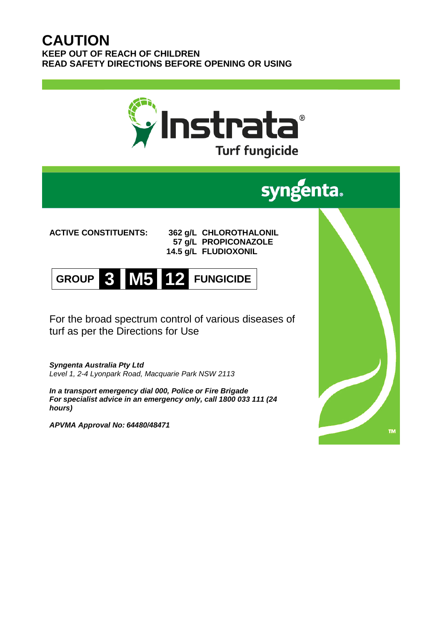## **CAUTION KEEP OUT OF REACH OF CHILDREN READ SAFETY DIRECTIONS BEFORE OPENING OR USING**



# **ACTIVE CONSTITUENTS: 362 g/L CHLOROTHALONIL**

**57 g/L PROPICONAZOLE 14.5 g/L FLUDIOXONIL**

**GROUP 3 M5 12 FUNGICIDE**

For the broad spectrum control of various diseases of turf as per the Directions for Use

*Syngenta Australia Pty Ltd Level 1, 2-4 Lyonpark Road, Macquarie Park NSW 2113*

*In a transport emergency dial 000, Police or Fire Brigade For specialist advice in an emergency only, call 1800 033 111 (24 hours)*

*APVMA Approval No: 64480/48471*

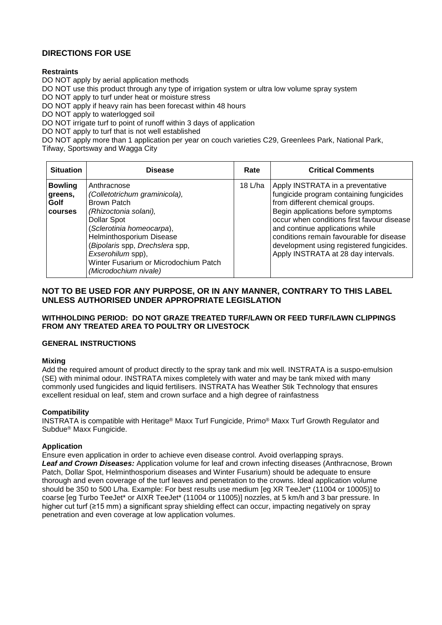### **DIRECTIONS FOR USE**

### **Restraints**

DO NOT apply by aerial application methods

DO NOT use this product through any type of irrigation system or ultra low volume spray system

DO NOT apply to turf under heat or moisture stress

DO NOT apply if heavy rain has been forecast within 48 hours

DO NOT apply to waterlogged soil

DO NOT irrigate turf to point of runoff within 3 days of application

DO NOT apply to turf that is not well established

DO NOT apply more than 1 application per year on couch varieties C29, Greenlees Park, National Park,

Tifway, Sportsway and Wagga City

| <b>Situation</b>                             | <b>Disease</b>                                                                                                                                                                                                                                                                                | Rate      | <b>Critical Comments</b>                                                                                                                                                                                                                                                                                                                                             |
|----------------------------------------------|-----------------------------------------------------------------------------------------------------------------------------------------------------------------------------------------------------------------------------------------------------------------------------------------------|-----------|----------------------------------------------------------------------------------------------------------------------------------------------------------------------------------------------------------------------------------------------------------------------------------------------------------------------------------------------------------------------|
| <b>Bowling</b><br>greens.<br>Golf<br>courses | Anthracnose<br>(Colletotrichum graminicola),<br><b>Brown Patch</b><br>(Rhizoctonia solani),<br>Dollar Spot<br>(Sclerotinia homeocarpa),<br>Helminthosporium Disease<br>(Bipolaris spp, Drechslera spp,<br>Exserohilum spp),<br>Winter Fusarium or Microdochium Patch<br>(Microdochium nivale) | 18 $L/ha$ | Apply INSTRATA in a preventative<br>fungicide program containing fungicides<br>from different chemical groups.<br>Begin applications before symptoms<br>occur when conditions first favour disease<br>and continue applications while<br>conditions remain favourable for disease<br>development using registered fungicides.<br>Apply INSTRATA at 28 day intervals. |

### **NOT TO BE USED FOR ANY PURPOSE, OR IN ANY MANNER, CONTRARY TO THIS LABEL UNLESS AUTHORISED UNDER APPROPRIATE LEGISLATION**

### **WITHHOLDING PERIOD: DO NOT GRAZE TREATED TURF/LAWN OR FEED TURF/LAWN CLIPPINGS FROM ANY TREATED AREA TO POULTRY OR LIVESTOCK**

### **GENERAL INSTRUCTIONS**

### **Mixing**

Add the required amount of product directly to the spray tank and mix well. INSTRATA is a suspo-emulsion (SE) with minimal odour. INSTRATA mixes completely with water and may be tank mixed with many commonly used fungicides and liquid fertilisers. INSTRATA has Weather Stik Technology that ensures excellent residual on leaf, stem and crown surface and a high degree of rainfastness

### **Compatibility**

INSTRATA is compatible with Heritage® Maxx Turf Fungicide, Primo® Maxx Turf Growth Regulator and Subdue® Maxx Fungicide.

### **Application**

Ensure even application in order to achieve even disease control. Avoid overlapping sprays. *Leaf and Crown Diseases:* Application volume for leaf and crown infecting diseases (Anthracnose, Brown Patch, Dollar Spot, Helminthosporium diseases and Winter Fusarium) should be adequate to ensure thorough and even coverage of the turf leaves and penetration to the crowns. Ideal application volume should be 350 to 500 L/ha. Example: For best results use medium [eg XR TeeJet\* (11004 or 10005)] to coarse [eg Turbo TeeJet\* or AIXR TeeJet\* (11004 or 11005)] nozzles, at 5 km/h and 3 bar pressure. In higher cut turf (≥15 mm) a significant spray shielding effect can occur, impacting negatively on spray penetration and even coverage at low application volumes.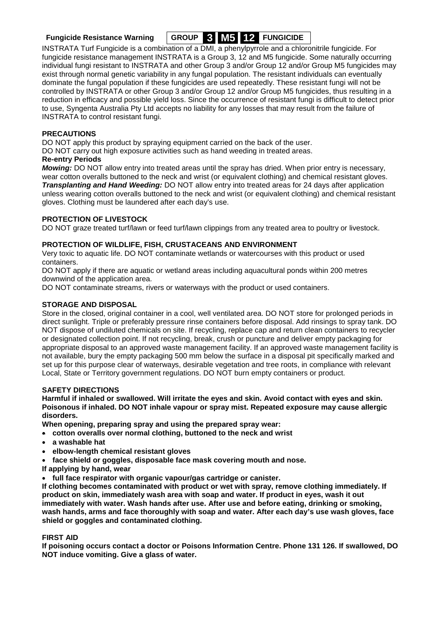

INSTRATA Turf Fungicide is a combination of a DMI, a phenylpyrrole and a chloronitrile fungicide. For fungicide resistance management INSTRATA is a Group 3, 12 and M5 fungicide. Some naturally occurring individual fungi resistant to INSTRATA and other Group 3 and/or Group 12 and/or Group M5 fungicides may exist through normal genetic variability in any fungal population. The resistant individuals can eventually dominate the fungal population if these fungicides are used repeatedly. These resistant fungi will not be controlled by INSTRATA or other Group 3 and/or Group 12 and/or Group M5 fungicides, thus resulting in a reduction in efficacy and possible yield loss. Since the occurrence of resistant fungi is difficult to detect prior to use, Syngenta Australia Pty Ltd accepts no liability for any losses that may result from the failure of INSTRATA to control resistant fungi.

### **PRECAUTIONS**

DO NOT apply this product by spraying equipment carried on the back of the user.

DO NOT carry out high exposure activities such as hand weeding in treated areas.

### **Re-entry Periods**

*Mowing:* DO NOT allow entry into treated areas until the spray has dried. When prior entry is necessary, wear cotton overalls buttoned to the neck and wrist (or equivalent clothing) and chemical resistant gloves. *Transplanting and Hand Weeding:* DO NOT allow entry into treated areas for 24 days after application unless wearing cotton overalls buttoned to the neck and wrist (or equivalent clothing) and chemical resistant gloves. Clothing must be laundered after each day's use.

### **PROTECTION OF LIVESTOCK**

DO NOT graze treated turf/lawn or feed turf/lawn clippings from any treated area to poultry or livestock.

### **PROTECTION OF WILDLIFE, FISH, CRUSTACEANS AND ENVIRONMENT**

Very toxic to aquatic life. DO NOT contaminate wetlands or watercourses with this product or used containers.

DO NOT apply if there are aquatic or wetland areas including aquacultural ponds within 200 metres downwind of the application area.

DO NOT contaminate streams, rivers or waterways with the product or used containers.

### **STORAGE AND DISPOSAL**

Store in the closed, original container in a cool, well ventilated area. DO NOT store for prolonged periods in direct sunlight. Triple or preferably pressure rinse containers before disposal. Add rinsings to spray tank. DO NOT dispose of undiluted chemicals on site. If recycling, replace cap and return clean containers to recycler or designated collection point. If not recycling, break, crush or puncture and deliver empty packaging for appropriate disposal to an approved waste management facility. If an approved waste management facility is not available, bury the empty packaging 500 mm below the surface in a disposal pit specifically marked and set up for this purpose clear of waterways, desirable vegetation and tree roots, in compliance with relevant Local, State or Territory government regulations. DO NOT burn empty containers or product.

### **SAFETY DIRECTIONS**

**Harmful if inhaled or swallowed. Will irritate the eyes and skin. Avoid contact with eyes and skin. Poisonous if inhaled. DO NOT inhale vapour or spray mist. Repeated exposure may cause allergic disorders.** 

**When opening, preparing spray and using the prepared spray wear:**

- **cotton overalls over normal clothing, buttoned to the neck and wrist**
- **a washable hat**
- **elbow-length chemical resistant gloves**
- **face shield or goggles, disposable face mask covering mouth and nose.**
- **If applying by hand, wear**
- **full face respirator with organic vapour/gas cartridge or canister.**

**If clothing becomes contaminated with product or wet with spray, remove clothing immediately. If product on skin, immediately wash area with soap and water. If product in eyes, wash it out immediately with water. Wash hands after use. After use and before eating, drinking or smoking, wash hands, arms and face thoroughly with soap and water. After each day's use wash gloves, face shield or goggles and contaminated clothing.**

### **FIRST AID**

**If poisoning occurs contact a doctor or Poisons Information Centre. Phone 131 126. If swallowed, DO NOT induce vomiting. Give a glass of water.**